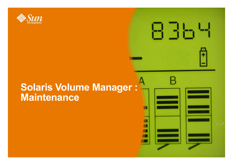

#### **Solaris Volume Manager : Maintenance**

835

п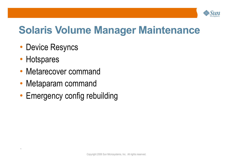

### **Solaris Volume Manager Maintenance**

- Device Resyncs
- Hotspares

- Metarecover command
- Metaparam command
- Emergency config rebuilding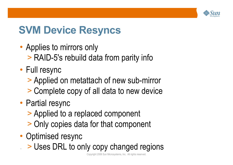

# **SVM Device Resyncs**

- Applies to mirrors only
	- > RAID-5's rebuild data from parity info
- Full resync
	- > Applied on metattach of new sub-mirror
	- > Complete copy of all data to new device
- Partial resync
	- > Applied to a replaced component
	- > Only copies data for that component
- Optimised resync
	- > Uses DRL to only copy changed regions

Copyright 2006 Sun Microsystems, Inc. All rights reserved.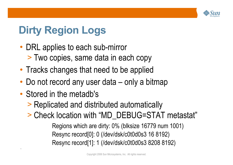

# **Dirty Region Logs**

- DRL applies to each sub-mirror
	- > Two copies, same data in each copy
- Tracks changes that need to be applied
- Do not record any user data only a bitmap
- Stored in the metadb's

`

- > Replicated and distributed automatically
- > Check location with "MD\_DEBUG=STAT metastat"

Regions which are dirty: 0% (blksize 16779 num 1001) Resync record[0]: 0 (/dev/dsk/c0t0d0s3 16 8192) Resync record[1]: 1 (/dev/dsk/c0t0d0s3 8208 8192)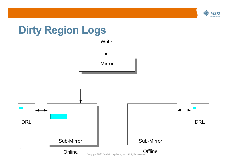

#### **Dirty Region Logs**

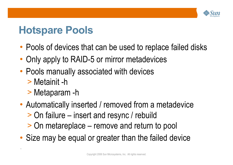

### **Hotspare Pools**

- Pools of devices that can be used to replace failed disks
- Only apply to RAID-5 or mirror metadevices
- Pools manually associated with devices
	- > Metainit -h

- > Metaparam -h
- Automatically inserted / removed from a metadevice
	- > On failure insert and resync / rebuild
	- > On metareplace remove and return to pool
- Size may be equal or greater than the failed device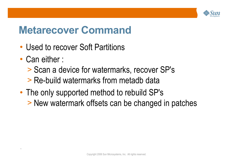

#### **Metarecover Command**

- Used to recover Soft Partitions
- Can either :

- > Scan a device for watermarks, recover SP's
- > Re-build watermarks from metadb data
- The only supported method to rebuild SP's > New watermark offsets can be changed in patches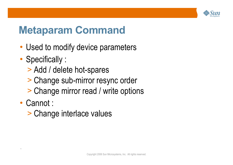

#### **Metaparam Command**

- Used to modify device parameters
- Specifically :
	- > Add / delete hot-spares
	- > Change sub-mirror resync order
	- > Change mirror read / write options
- Cannot :

`

> Change interlace values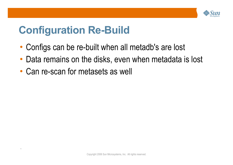

### **Configuration Re-Build**

- Configs can be re-built when all metadb's are lost
- Data remains on the disks, even when metadata is lost
- Can re-scan for metasets as well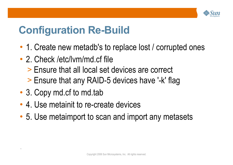

## **Configuration Re-Build**

- 1. Create new metadb's to replace lost / corrupted ones
- 2. Check /etc/lym/md.cf file
	- > Ensure that all local set devices are correct
	- > Ensure that any RAID-5 devices have '-k' flag
- 3. Copy md.cf to md.tab

- 4. Use metainit to re-create devices
- 5. Use metaimport to scan and import any metasets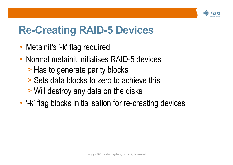

# **Re-Creating RAID-5 Devices**

• Metainit's '-k' flag required

- Normal metainit initialises RAID-5 devices
	- > Has to generate parity blocks
	- > Sets data blocks to zero to achieve this
	- > Will destroy any data on the disks
- '-k' flag blocks initialisation for re-creating devices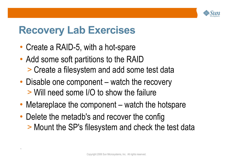

#### **Recovery Lab Exercises**

• Create a RAID-5, with a hot-spare

- Add some soft partitions to the RAID > Create a filesystem and add some test data
- Disable one component watch the recovery > Will need some I/O to show the failure
- Metareplace the component watch the hotspare
- Delete the metadb's and recover the config > Mount the SP's filesystem and check the test data